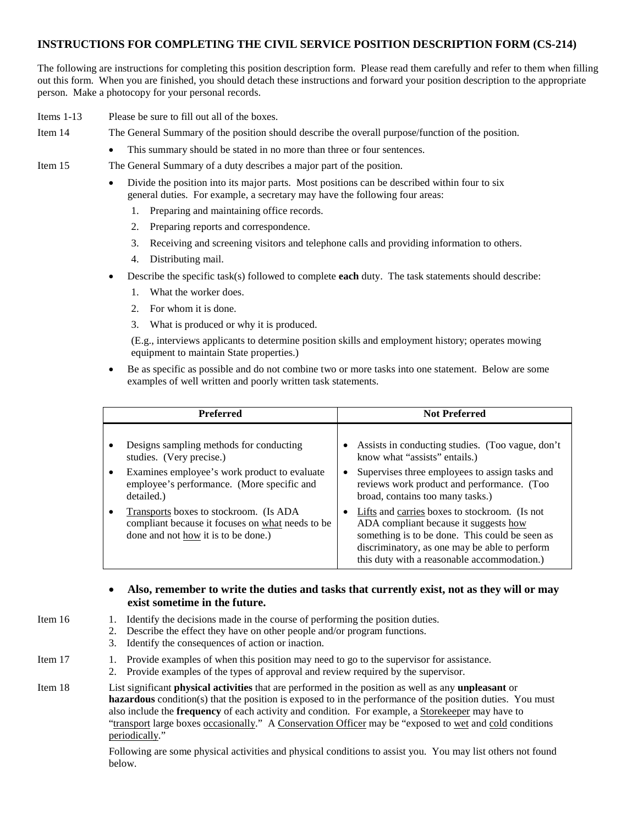## **INSTRUCTIONS FOR COMPLETING THE CIVIL SERVICE POSITION DESCRIPTION FORM (CS-214)**

The following are instructions for completing this position description form. Please read them carefully and refer to them when filling out this form. When you are finished, you should detach these instructions and forward your position description to the appropriate person. Make a photocopy for your personal records.

- Items 1-13 Please be sure to fill out all of the boxes.
- Item 14 The General Summary of the position should describe the overall purpose/function of the position.
	- This summary should be stated in no more than three or four sentences.

Item 15 The General Summary of a duty describes a major part of the position.

- Divide the position into its major parts. Most positions can be described within four to six general duties. For example, a secretary may have the following four areas:
	- 1. Preparing and maintaining office records.
	- 2. Preparing reports and correspondence.
	- 3. Receiving and screening visitors and telephone calls and providing information to others.
	- 4. Distributing mail.
- Describe the specific task(s) followed to complete **each** duty. The task statements should describe:
	- 1. What the worker does.
	- 2. For whom it is done.
	- 3. What is produced or why it is produced.

(E.g., interviews applicants to determine position skills and employment history; operates mowing equipment to maintain State properties.)

• Be as specific as possible and do not combine two or more tasks into one statement. Below are some examples of well written and poorly written task statements.

| <b>Preferred</b>                                                                                                                  | <b>Not Preferred</b>                                                                                                                                                                                                                     |
|-----------------------------------------------------------------------------------------------------------------------------------|------------------------------------------------------------------------------------------------------------------------------------------------------------------------------------------------------------------------------------------|
| Designs sampling methods for conducting                                                                                           | Assists in conducting studies. (Too vague, don't                                                                                                                                                                                         |
| studies. (Very precise.)                                                                                                          | know what "assists" entails.)                                                                                                                                                                                                            |
| Examines employee's work product to evaluate                                                                                      | Supervises three employees to assign tasks and                                                                                                                                                                                           |
| employee's performance. (More specific and                                                                                        | reviews work product and performance. (Too                                                                                                                                                                                               |
| detailed.)                                                                                                                        | broad, contains too many tasks.)                                                                                                                                                                                                         |
| Transports boxes to stockroom. (Is ADA<br>compliant because it focuses on what needs to be<br>done and not how it is to be done.) | Lifts and carries boxes to stockroom. (Is not<br>ADA compliant because it suggests how<br>something is to be done. This could be seen as<br>discriminatory, as one may be able to perform<br>this duty with a reasonable accommodation.) |

## • **Also, remember to write the duties and tasks that currently exist, not as they will or may exist sometime in the future.**

- Item 16 1. Identify the decisions made in the course of performing the position duties.
	- 2. Describe the effect they have on other people and/or program functions.
		- 3. Identify the consequences of action or inaction.
- Item 17 1. Provide examples of when this position may need to go to the supervisor for assistance.
	- 2. Provide examples of the types of approval and review required by the supervisor.

Item 18 List significant **physical activities** that are performed in the position as well as any **unpleasant** or **hazardous** condition(s) that the position is exposed to in the performance of the position duties. You must also include the **frequency** of each activity and condition. For example, a Storekeeper may have to "transport large boxes occasionally." A Conservation Officer may be "exposed to wet and cold conditions periodically."

> Following are some physical activities and physical conditions to assist you. You may list others not found below.